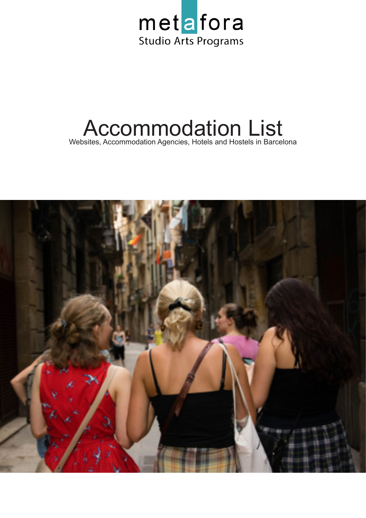

# Accommodation List Websites, Accommodation Agencies, Hotels and Hostels in Barcelona

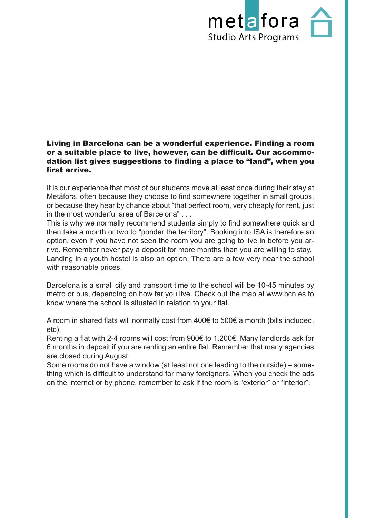

#### Living in Barcelona can be a wonderful experience. Finding a room or a suitable place to live, however, can be difficult. Our accommodation list gives suggestions to finding a place to "land", when you first arrive.

It is our experience that most of our students move at least once during their stay at Metáfora, often because they choose to find somewhere together in small groups, or because they hear by chance about "that perfect room, very cheaply for rent, just in the most wonderful area of Barcelona" . . .

This is why we normally recommend students simply to find somewhere quick and then take a month or two to "ponder the territory". Booking into ISA is therefore an option, even if you have not seen the room you are going to live in before you arrive. Remember never pay a deposit for more months than you are willing to stay. Landing in a youth hostel is also an option. There are a few very near the school with reasonable prices.

Barcelona is a small city and transport time to the school will be 10-45 minutes by metro or bus, depending on how far you live. Check out the map at www.bcn.es to know where the school is situated in relation to your flat.

A room in shared flats will normally cost from 400€ to 500€ a month (bills included, etc).

Renting a flat with 2-4 rooms will cost from 900€ to 1.200€. Many landlords ask for 6 months in deposit if you are renting an entire flat. Remember that many agencies are closed during August.

Some rooms do not have a window (at least not one leading to the outside) – something which is difficult to understand for many foreigners. When you check the ads on the internet or by phone, remember to ask if the room is "exterior" or "interior".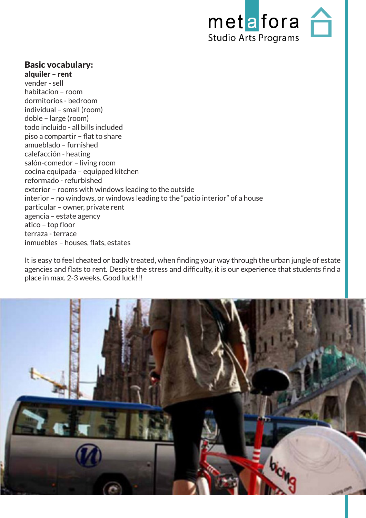

## Basic vocabulary:

alquiler – rent vender - sell habitacion – room dormitorios - bedroom individual – small (room) doble – large (room) todo incluido - all bills included piso a compartir – flat to share amueblado – furnished calefacción - heating salón-comedor – living room cocina equipada – equipped kitchen reformado - refurbished exterior – rooms with windows leading to the outside interior – no windows, or windows leading to the "patio interior" of a house particular – owner, private rent agencia – estate agency atico – top floor terraza - terrace inmuebles – houses, flats, estates

It is easy to feel cheated or badly treated, when finding your way through the urban jungle of estate agencies and flats to rent. Despite the stress and difficulty, it is our experience that students find a place in max. 2-3 weeks. Good luck!!!

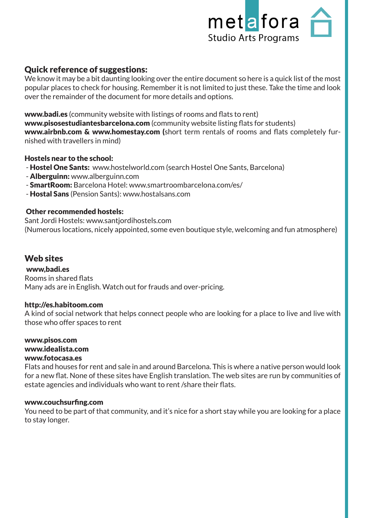

# Quick reference of suggestions:

We know it may be a bit daunting looking over the entire document so here is a quick list of the most popular places to check for housing. Remember it is not limited to just these. Take the time and look over the remainder of the document for more details and options.

www.badi.es (community website with listings of rooms and flats to rent)

www.pisosestudiantesbarcelona.com (community website listing flats for students) www.airbnb.com & www.homestay.com (short term rentals of rooms and flats completely furnished with travellers in mind)

### Hostels near to the school:

- Hostel One Sants: www.hostelworld.com (search Hostel One Sants, Barcelona)
- Alberguinn: www.alberguinn.com
- SmartRoom: Barcelona Hotel: www.smartroombarcelona.com/es/
- Hostal Sans (Pension Sants): www.hostalsans.com

### Other recommended hostels:

Sant Jordi Hostels: www.santjordihostels.com (Numerous locations, nicely appointed, some even boutique style, welcoming and fun atmosphere)

# Web sites

www,badi.es Rooms in shared flats Many ads are in English. Watch out for frauds and over-pricing.

### http://es.habitoom.com

A kind of social network that helps connect people who are looking for a place to live and live with those who offer spaces to rent

www.pisos.com www.idealista.com www.fotocasa.es

Flats and houses for rent and sale in and around Barcelona. This is where a native person would look for a new flat. None of these sites have English translation. The web sites are run by communities of estate agencies and individuals who want to rent /share their flats.

### www.couchsurfing.com

You need to be part of that community, and it's nice for a short stay while you are looking for a place to stay longer.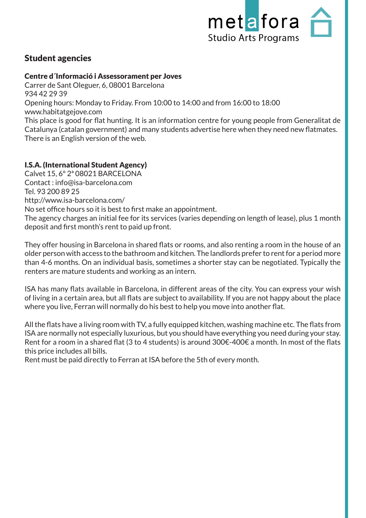

# Student agencies

## Centre d´Informació i Assessorament per Joves

Carrer de Sant Oleguer, 6, 08001 Barcelona 934 42 29 39 Opening hours: Monday to Friday. From 10:00 to 14:00 and from 16:00 to 18:00 www.habitatgejove.com

This place is good for flat hunting. It is an information centre for young people from Generalitat de Catalunya (catalan government) and many students advertise here when they need new flatmates. There is an English version of the web.

# I.S.A. (International Student Agency)

Calvet 15, 6º 2ª 08021 BARCELONA Contact : info@isa-barcelona.com Tel. 93 200 89 25 http://www.isa-barcelona.com/ No set office hours so it is best to first make an appointment.

The agency charges an initial fee for its services (varies depending on length of lease), plus 1 month deposit and first month's rent to paid up front.

They offer housing in Barcelona in shared flats or rooms, and also renting a room in the house of an older person with access to the bathroom and kitchen. The landlords prefer to rent for a period more than 4-6 months. On an individual basis, sometimes a shorter stay can be negotiated. Typically the renters are mature students and working as an intern.

ISA has many flats available in Barcelona, in different areas of the city. You can express your wish of living in a certain area, but all flats are subject to availability. If you are not happy about the place where you live, Ferran will normally do his best to help you move into another flat.

All the flats have a living room with TV, a fully equipped kitchen, washing machine etc. The flats from ISA are normally not especially luxurious, but you should have everything you need during your stay. Rent for a room in a shared flat (3 to 4 students) is around 300€-400€ a month. In most of the flats this price includes all bills.

Rent must be paid directly to Ferran at ISA before the 5th of every month.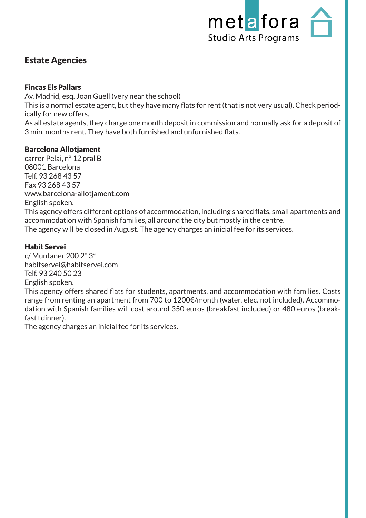

# Estate Agencies

## Fincas Els Pallars

Av. Madrid, esq. Joan Guell (very near the school)

This is a normal estate agent, but they have many flats for rent (that is not very usual). Check periodically for new offers.

As all estate agents, they charge one month deposit in commission and normally ask for a deposit of 3 min. months rent. They have both furnished and unfurnished flats.

## Barcelona Allotjament

carrer Pelai, nº 12 pral B 08001 Barcelona Telf. 93 268 43 57 Fax 93 268 43 57 www.barcelona-allotjament.com English spoken. This agency offers different options of accommodation, including shared flats, small apartments and accommodation with Spanish families, all around the city but mostly in the centre. The agency will be closed in August. The agency charges an inicial fee for its services.

## Habit Servei

c/ Muntaner 200 2º 3ª habitservei@habitservei.com Telf. 93 240 50 23 English spoken.

This agency offers shared flats for students, apartments, and accommodation with families. Costs range from renting an apartment from 700 to 1200€/month (water, elec. not included). Accommodation with Spanish families will cost around 350 euros (breakfast included) or 480 euros (breakfast+dinner).

The agency charges an inicial fee for its services.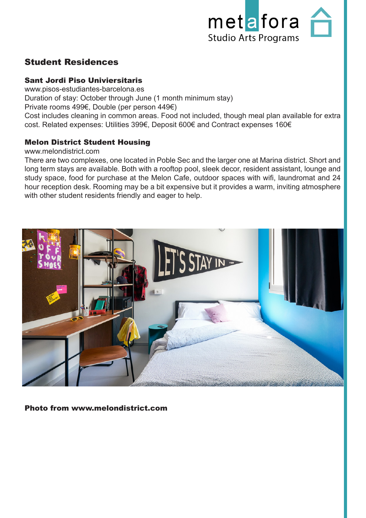

# Student Residences

## Sant Jordi Piso Univiersitaris

www.pisos-estudiantes-barcelona.es Duration of stay: October through June (1 month minimum stay) Private rooms 499€, Double (per person 449€) Cost includes cleaning in common areas. Food not included, though meal plan available for extra cost. Related expenses: Utilities 399€, Deposit 600€ and Contract expenses 160€

## Melon District Student Housing

#### www.melondistrict.com

There are two complexes, one located in Poble Sec and the larger one at Marina district. Short and long term stays are available. Both with a rooftop pool, sleek decor, resident assistant, lounge and study space, food for purchase at the Melon Cafe, outdoor spaces with wifi, laundromat and 24 hour reception desk. Rooming may be a bit expensive but it provides a warm, inviting atmosphere with other student residents friendly and eager to help.



#### Photo from www.melondistrict.com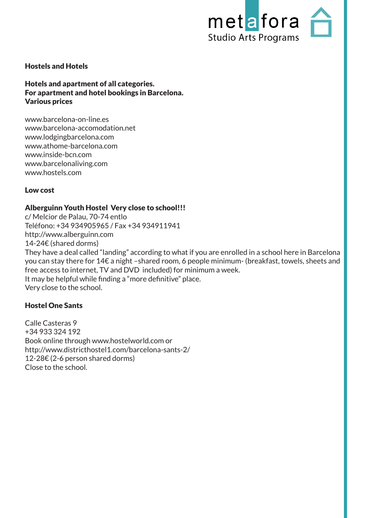

#### Hostels and Hotels

Hotels and apartment of all categories. For apartment and hotel bookings in Barcelona. Various prices

www.barcelona-on-line.es www.barcelona-accomodation.net www.lodgingbarcelona.com www.athome-barcelona.com www.inside-bcn.com www.barcelonaliving.com www.hostels.com

#### Low cost

#### Alberguinn Youth Hostel Very close to school!!!

c/ Melcior de Palau, 70-74 entlo Teléfono: +34 934905965 / Fax +34 934911941 http://www.alberguinn.com 14-24€ (shared dorms) They have a deal called "landing" according to what if you are enrolled in a school here in Barcelona you can stay there for 14€ a night –shared room, 6 people minimum- (breakfast, towels, sheets and free access to internet, TV and DVD included) for minimum a week. It may be helpful while finding a "more definitive" place. Very close to the school.

### Hostel One Sants

Calle Casteras 9 +34 933 324 192 Book online through www.hostelworld.com or http://www.districthostel1.com/barcelona-sants-2/ 12-28€ (2-6 person shared dorms) Close to the school.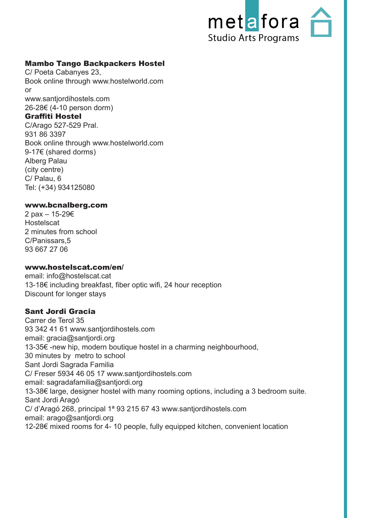

## Mambo Tango Backpackers Hostel

C/ Poeta Cabanyes 23, Book online through www.hostelworld.com or www.santjordihostels.com 26-28€ (4-10 person dorm)

#### Graffiti Hostel

C/Arago 527-529 Pral. 931 86 3397 Book online through www.hostelworld.com 9-17€ (shared dorms) Alberg Palau (city centre) C/ Palau, 6 Tel: (+34) 934125080

#### www.bcnalberg.com

2 pax – 15-29€ **Hostelscat** 2 minutes from school C/Panissars,5 93 667 27 06

#### www.hostelscat.com/en/

email: info@hostelscat.cat 13-18€ including breakfast, fiber optic wifi, 24 hour reception Discount for longer stays

#### Sant Jordi Gracia

Carrer de Terol 35 93 342 41 61 www.santjordihostels.com email: gracia@santjordi.org 13-35€ -new hip, modern boutique hostel in a charming neighbourhood, 30 minutes by metro to school Sant Jordi Sagrada Familia C/ Freser 5934 46 05 17 www.santjordihostels.com email: sagradafamilia@santjordi.org 13-38€ large, designer hostel with many rooming options, including a 3 bedroom suite. Sant Jordi Aragó C/ d'Aragó 268, principal 1ª 93 215 67 43 www.santjordihostels.com email: arago@santjordi.org 12-28€ mixed rooms for 4- 10 people, fully equipped kitchen, convenient location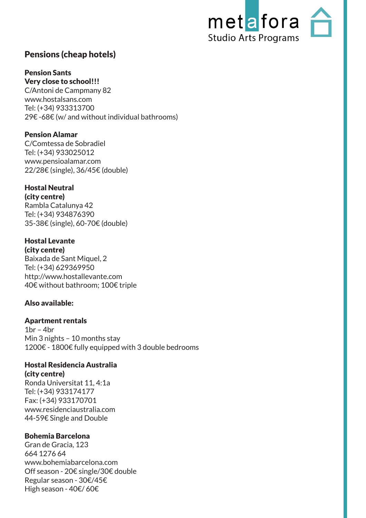

# Pensions (cheap hotels)

#### Pension Sants Very close to school!!!

C/Antoni de Campmany 82 www.hostalsans.com Tel: (+34) 933313700 29€ -68€ (w/ and without individual bathrooms)

## Pension Alamar

C/Comtessa de Sobradiel Tel: (+34) 933025012 www.pensioalamar.com 22/28€ (single), 36/45€ (double)

#### Hostal Neutral (city centre)

Rambla Catalunya 42 Tel: (+34) 934876390 35-38€ (single), 60-70€ (double)

#### Hostal Levante (city centre)

Baixada de Sant Miquel, 2 Tel: (+34) 629369950 http://www.hostallevante.com 40€ without bathroom; 100€ triple

# Also available:

# Apartment rentals

 $1<sub>br</sub> - 4<sub>br</sub>$ Min 3 nights – 10 months stay 1200€ - 1800€ fully equipped with 3 double bedrooms

# Hostal Residencia Australia

(city centre) Ronda Universitat 11, 4:1a Tel: (+34) 933174177 Fax: (+34) 933170701 www.residenciaustralia.com 44-59€ Single and Double

# Bohemia Barcelona

Gran de Gracia, 123 664 1276 64 www.bohemiabarcelona.com Off season - 20€ single/30€ double Regular season - 30€/45€ High season - 40€/ 60€